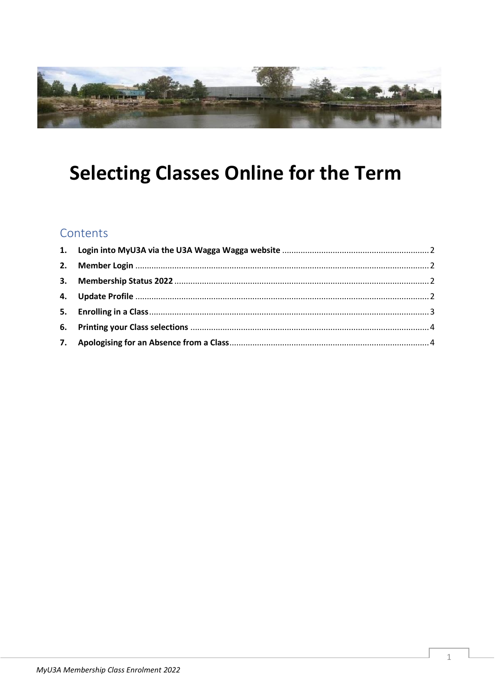

# **Selecting Classes Online for the Term**

## Contents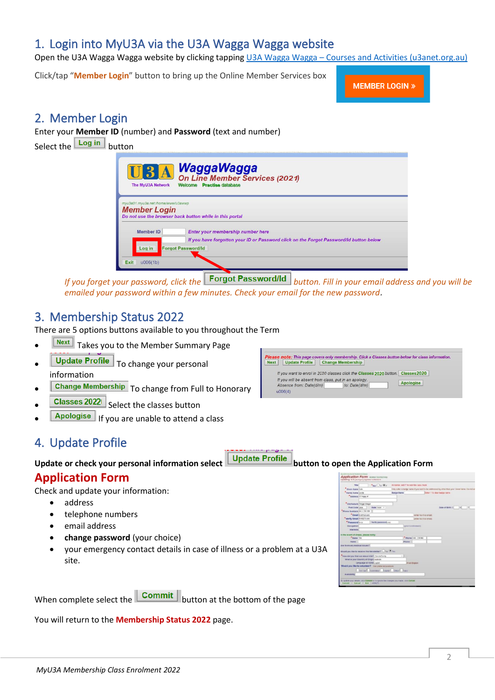# <span id="page-1-0"></span>1. Login into MyU3A via the U3A Wagga Wagga website

Open the U3A Wagga Wagga website by clicking tapping U3A Wagga Wagga – [Courses and Activities \(u3anet.org.au\)](https://waggawagga.u3anet.org.au/)

Click/tap "**Member Login**" button to bring up the Online Member Services box

**MEMBER LOGIN »** 

**Please note:** This page covers only membership. Click a Classes button below for class information Next | Update Profile | Change Membership | If you want to enrol in 2020 classes click the Classes 2020 button. Classes 2020

If you will be absent from class, put in an apology.<br>Absence from:  $Date(d/m)$   $\qquad$  to:  $Date(d/m)$ 

### <span id="page-1-1"></span>2. Member Login

Enter your **Member ID** (number) and **Password** (text and number) Select the Log in button



*If* you forget your password, click the *buttor* **Password/Id** *button. Fill in your email address and you will be emailed your password within a few minutes. Check your email for the new password*.

### <span id="page-1-2"></span>3. Membership Status 2022

There are 5 options buttons available to you throughout the Term

- **Next** Takes you to the Member Summary Page
- Update Profile | To change your personal information
- Change Membership To change from Full to Honorary
- **Classes 20221** Select the classes button
- Apologise | If you are unable to attend a class

# <span id="page-1-3"></span>4. Update Profile

**Update or check your personal information select button to open the Application Form**

### **Application Form**

Check and update your information:

- address
- telephone numbers
- email address
- **change password** (your choice)
- your emergency contact details in case of illness or a problem at a U3A site.

| <b>Title</b>                                   |                         | $\bullet$ sas $\bigcirc$ u $\bigcirc$ r                                                    | All names: add 1' to override cass check. |                               |                         |                                                                                                 |  |
|------------------------------------------------|-------------------------|--------------------------------------------------------------------------------------------|-------------------------------------------|-------------------------------|-------------------------|-------------------------------------------------------------------------------------------------|--|
| " Given Name 1-to                              |                         |                                                                                            |                                           |                               |                         | Only enter a badge name if you want to be addressed by other than your Client fiame. Do not ent |  |
| <sup>8</sup> Family Name Smith                 |                         |                                                                                            | <b>Badge Name</b>                         |                               |                         | Enter 17 to clear badge name.                                                                   |  |
| Address 12 https it                            |                         |                                                                                            |                                           |                               |                         |                                                                                                 |  |
| * City/Suburb Wrops Wagon                      |                         |                                                                                            |                                           |                               |                         |                                                                                                 |  |
| Post Code 26%                                  |                         | State now ~                                                                                |                                           |                               |                         | Date of Birth D. [M]                                                                            |  |
| "Fhone Numbers (6411 239 996                   |                         |                                                                                            |                                           |                               |                         |                                                                                                 |  |
|                                                | *Email volt/23.com      |                                                                                            |                                           |                               | (enter hip if no email) |                                                                                                 |  |
| *Verify Email wright.com                       |                         |                                                                                            |                                           |                               | (enter fun if no email) |                                                                                                 |  |
| *Password bri2                                 |                         | Verify password y 12                                                                       |                                           |                               |                         |                                                                                                 |  |
| Occupation                                     |                         |                                                                                            |                                           | <b>ZERVIST TO INSTRUMENTS</b> |                         |                                                                                                 |  |
| <b>Interests</b>                               |                         |                                                                                            |                                           |                               |                         |                                                                                                 |  |
| the event of illness, please notify:           |                         |                                                                                            |                                           |                               |                         |                                                                                                 |  |
| "Name The                                      |                         |                                                                                            |                                           |                               | Phone (611 216 999)     |                                                                                                 |  |
| Name                                           |                         |                                                                                            |                                           | Phone                         |                         |                                                                                                 |  |
| Are there any medical issues?                  |                         |                                                                                            |                                           |                               |                         |                                                                                                 |  |
|                                                |                         | Would you like to receive the Neusletter? $\bigcirc_{\forall\omega}\Theta_{\forall\omega}$ |                                           |                               |                         |                                                                                                 |  |
| How did you find out about USA? Frienfull andy |                         |                                                                                            | $\sim$                                    |                               |                         |                                                                                                 |  |
| What is your Country of Origin Audrein         |                         |                                                                                            |                                           |                               |                         |                                                                                                 |  |
|                                                | Language at home Light- |                                                                                            |                                           | If not English                |                         |                                                                                                 |  |
|                                                |                         | Would you like to volunteer? I've pretered positions                                       |                                           |                               |                         |                                                                                                 |  |
|                                                |                         | Ce car Conville Lease Office Tutte                                                         |                                           |                               |                         |                                                                                                 |  |
| <b>Availability</b>                            |                         |                                                                                            |                                           |                               |                         |                                                                                                 |  |

Apologise

When complete select the  $\boxed{\text{Commit}}$  button at the bottom of the page

You will return to the **Membership Status 2022** page.

 $u006(4)$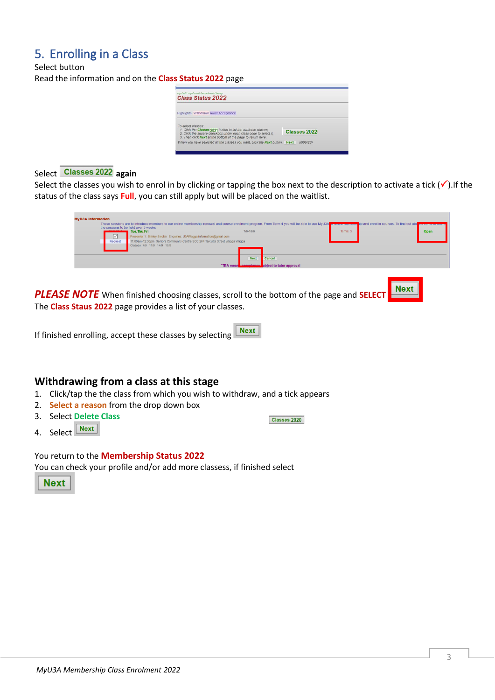# <span id="page-2-0"></span>5. Enrolling in a Class

Select button Read the information and on the **Class Status 2022** page

| <b>Class Status 2022</b>                                                                                                                                                                                                  |              |
|---------------------------------------------------------------------------------------------------------------------------------------------------------------------------------------------------------------------------|--------------|
| Highlights: Withdrawn Await Acceptance                                                                                                                                                                                    |              |
| To select classes:<br>1. Click the Classes 2021 button to list the available classes.<br>2. Click the square checkbox under each class code to select it,<br>3. Then click Next at the bottom of the page to return here. | Classes 2022 |

#### Select **Classes 2022** again

Select the classes you wish to enrol in by clicking or tapping the box next to the description to activate a tick  $(\checkmark)$ . If the status of the class says **Full**, you can still apply but will be placed on the waitlist.



**Classes 2020** 

*PLEASE NOTE* When finished choosing classes, scroll to the bottom of the page and **SELECT** The **Class Staus 2022** page provides a list of your classes.

If finished enrolling, accept these classes by selecting  $\sqrt{\frac{Next}{x}}$ 

#### **Withdrawing from a class at this stage**

- 1. Click/tap the the class from which you wish to withdraw, and a tick appears
- 2. **Select a reason** from the drop down box
- 3. Select **Delete Class**
- 4. Select Rext

You return to the **Membership Status 2022** You can check your profile and/or add more classess, if finished select